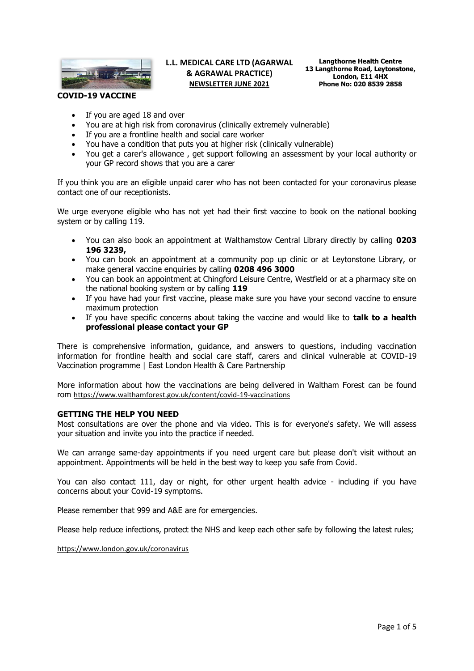

**COVID-19 VACCINE** 

## **L.L. MEDICAL CARE LTD (AGARWAL & AGRAWAL PRACTICE) NEWSLETTER JUNE 2021**

**Langthorne Health Centre 13 Langthorne Road, Leytonstone, London, E11 4HX Phone No: 020 8539 2858**

- - If you are aged 18 and over
	- You are at high risk from coronavirus (clinically extremely vulnerable)
	- If you are a frontline health and social care worker
	- You have a condition that puts you at higher risk (clinically vulnerable)
	- You get a carer's allowance , get support following an assessment by your local authority or your GP record shows that you are a carer

If you think you are an eligible unpaid carer who has not been contacted for your coronavirus please contact one of our receptionists.

We urge everyone eligible who has not yet had their first vaccine to book on the national booking system or by calling 119.

- You can also book an appointment at Walthamstow Central Library directly by calling **0203 196 3239,**
- You can book an appointment at a community pop up clinic or at Leytonstone Library, or make general vaccine enquiries by calling **0208 496 3000**
- You can book an appointment at Chingford Leisure Centre, Westfield or at a pharmacy site on the national booking system or by calling **119**
- If you have had your first vaccine, please make sure you have your second vaccine to ensure maximum protection
- If you have specific concerns about taking the vaccine and would like to **talk to a health professional please contact your GP**

There is comprehensive information, guidance, and answers to questions, including vaccination information for frontline health and social care staff, carers and clinical vulnerable at COVID-19 Vaccination programme | East London Health & Care Partnership

More information about how the vaccinations are being delivered in Waltham Forest can be found rom <https://www.walthamforest.gov.uk/content/covid-19-vaccinations>

#### **GETTING THE HELP YOU NEED**

Most consultations are over the phone and via video. This is for everyone's safety. We will assess your situation and invite you into the practice if needed.

We can arrange same-day appointments if you need urgent care but please don't visit without an appointment. Appointments will be held in the best way to keep you safe from Covid.

You can also contact 111, day or night, for other urgent health advice - including if you have concerns about your Covid-19 symptoms.

Please remember that 999 and A&E are for emergencies.

Please help reduce infections, protect the NHS and keep each other safe by following the latest rules;

<https://www.london.gov.uk/coronavirus>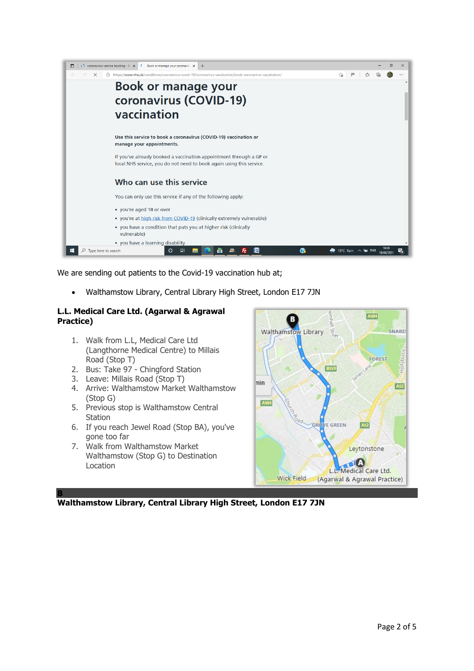

We are sending out patients to the Covid-19 vaccination hub at;

Walthamstow Library, Central Library High Street, London E17 7JN

# **L.L. Medical Care Ltd. (Agarwal & Agrawal Practice)**

- 1. Walk from L.L, Medical Care Ltd (Langthorne Medical Centre) to Millais Road (Stop T)
- 2. Bus: Take 97 Chingford Station
- 3. Leave: Millais Road (Stop T)
- 4. Arrive: Walthamstow Market Walthamstow (Stop G)
- 5. Previous stop is Walthamstow Central Station
- 6. If you reach Jewel Road (Stop BA), you've gone too far
- 7. Walk from Walthamstow Market Walthamstow (Stop G) to Destination Location



#### **B Walthamstow Library, Central Library High Street, London E17 7JN**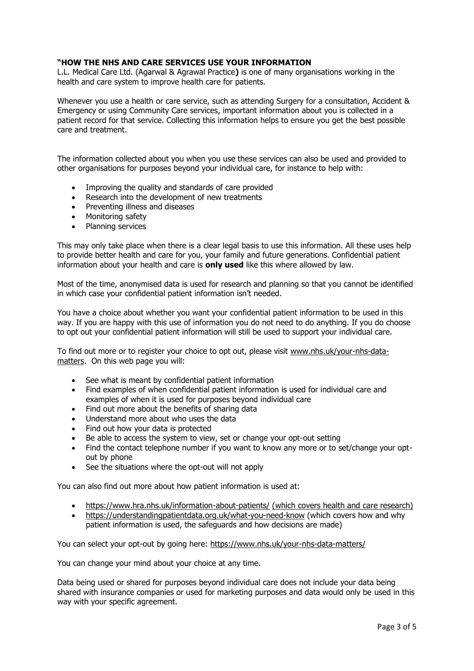## **"HOW THE NHS AND CARE SERVICES USE YOUR INFORMATION**

L.L. Medical Care Ltd. (Agarwal & Agrawal Practice**)** is one of many organisations working in the health and care system to improve health care for patients.

Whenever you use a health or care service, such as attending Surgery for a consultation, Accident & Emergency or using Community Care services, important information about you is collected in a patient record for that service. Collecting this information helps to ensure you get the best possible care and treatment.

The information collected about you when you use these services can also be used and provided to other organisations for purposes beyond your individual care, for instance to help with:

- Improving the quality and standards of care provided
- Research into the development of new treatments
- Preventing illness and diseases
- Monitoring safety
- Planning services

This may only take place when there is a clear legal basis to use this information. All these uses help to provide better health and care for you, your family and future generations. Confidential patient information about your health and care is **only used** like this where allowed by law.

Most of the time, anonymised data is used for research and planning so that you cannot be identified in which case your confidential patient information isn't needed.

You have a choice about whether you want your confidential patient information to be used in this way. If you are happy with this use of information you do not need to do anything. If you do choose to opt out your confidential patient information will still be used to support your individual care.

To find out more or to register your choice to opt out, please visit [www.nhs.uk/your-nhs-data](http://www.nhs.uk/your-nhs-data-matters)[matters.](http://www.nhs.uk/your-nhs-data-matters) On this web page you will:

- See what is meant by confidential patient information
- Find examples of when confidential patient information is used for individual care and examples of when it is used for purposes beyond individual care
- Find out more about the benefits of sharing data
- Understand more about who uses the data
- Find out how your data is protected
- Be able to access the system to view, set or change your opt-out setting
- Find the contact telephone number if you want to know any more or to set/change your optout by phone
- See the situations where the opt-out will not apply

You can also find out more about how patient information is used at:

- <https://www.hra.nhs.uk/information-about-patients/> (which covers health and care research)
- <https://understandingpatientdata.org.uk/what-you-need-know> (which covers how and why patient information is used, the safeguards and how decisions are made)

You can select your opt-out by going here:<https://www.nhs.uk/your-nhs-data-matters/>

You can change your mind about your choice at any time.

Data being used or shared for purposes beyond individual care does not include your data being shared with insurance companies or used for marketing purposes and data would only be used in this way with your specific agreement.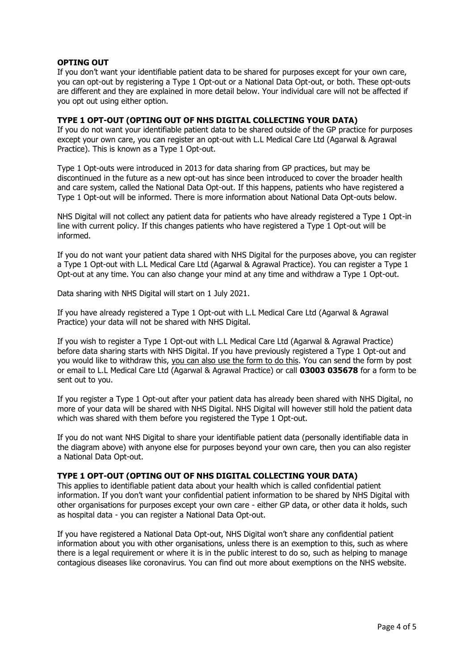## **OPTING OUT**

If you don't want your identifiable patient data to be shared for purposes except for your own care, you can opt-out by registering a Type 1 Opt-out or a National Data Opt-out, or both. These opt-outs are different and they are explained in more detail below. Your individual care will not be affected if you opt out using either option.

### **TYPE 1 OPT-OUT (OPTING OUT OF NHS DIGITAL COLLECTING YOUR DATA)**

If you do not want your identifiable patient data to be shared outside of the GP practice for purposes except your own care, you can register an opt-out with L.L Medical Care Ltd (Agarwal & Agrawal Practice). This is known as a Type 1 Opt-out.

Type 1 Opt-outs were introduced in 2013 for data sharing from GP practices, but may be discontinued in the future as a new opt-out has since been introduced to cover the broader health and care system, called the National Data Opt-out. If this happens, patients who have registered a Type 1 Opt-out will be informed. There is more information about National Data Opt-outs below.

NHS Digital will not collect any patient data for patients who have already registered a Type 1 Opt-in line with current policy. If this changes patients who have registered a Type 1 Opt-out will be informed.

If you do not want your patient data shared with NHS Digital for the purposes above, you can register a Type 1 Opt-out with L.L Medical Care Ltd (Agarwal & Agrawal Practice). You can register a Type 1 Opt-out at any time. You can also change your mind at any time and withdraw a Type 1 Opt-out.

Data sharing with NHS Digital will start on 1 July 2021.

If you have already registered a Type 1 Opt-out with L.L Medical Care Ltd (Agarwal & Agrawal Practice) your data will not be shared with NHS Digital.

If you wish to register a Type 1 Opt-out with L.L Medical Care Ltd (Agarwal & Agrawal Practice) before data sharing starts with NHS Digital. If you have previously registered a Type 1 Opt-out and you would like to withdraw this, [you can also use the form to do this.](http://www.llmedicareagarwal.co.uk/Website%20Documents/Type_1_Opt_out_form.pdf) You can send the form by post or email to L.L Medical Care Ltd (Agarwal & Agrawal Practice) or call **03003 035678** for a form to be sent out to you.

If you register a Type 1 Opt-out after your patient data has already been shared with NHS Digital, no more of your data will be shared with NHS Digital. NHS Digital will however still hold the patient data which was shared with them before you registered the Type 1 Opt-out.

If you do not want NHS Digital to share your identifiable patient data (personally identifiable data in the diagram above) with anyone else for purposes beyond your own care, then you can also register a National Data Opt-out.

## **TYPE 1 OPT-OUT (OPTING OUT OF NHS DIGITAL COLLECTING YOUR DATA)**

This applies to identifiable patient data about your health which is called confidential patient information. If you don't want your confidential patient information to be shared by NHS Digital with other organisations for purposes except your own care - either GP data, or other data it holds, such as hospital data - you can register a National Data Opt-out.

If you have registered a National Data Opt-out, NHS Digital won't share any confidential patient information about you with other organisations, unless there is an exemption to this, such as where there is a legal requirement or where it is in the public interest to do so, such as helping to manage contagious diseases like coronavirus. You can find out more about exemptions on the NHS website.